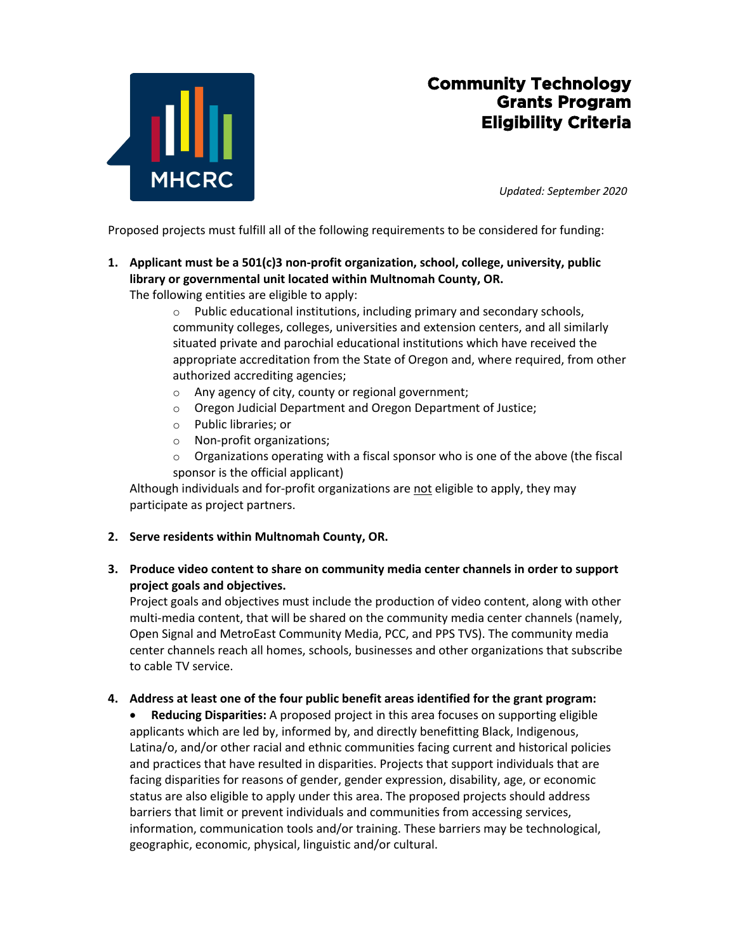

# **Community Technology Grants Program Eligibility Criteria**

*Updated: September 2020*

Proposed projects must fulfill all of the following requirements to be considered for funding:

**1. Applicant must be a 501(c)3 non-profit organization, school, college, university, public library or governmental unit located within Multnomah County, OR.**

The following entities are eligible to apply:

- o Public educational institutions, including primary and secondary schools, community colleges, colleges, universities and extension centers, and all similarly situated private and parochial educational institutions which have received the appropriate accreditation from the State of Oregon and, where required, from other authorized accrediting agencies;
- o Any agency of city, county or regional government;
- o Oregon Judicial Department and Oregon Department of Justice;
- o Public libraries; or
- o Non-profit organizations;
- $\circ$  Organizations operating with a fiscal sponsor who is one of the above (the fiscal sponsor is the official applicant)

Although individuals and for-profit organizations are not eligible to apply, they may participate as project partners.

#### **2. Serve residents within Multnomah County, OR.**

## **3. Produce video content to share on community media center channels in order to support project goals and objectives.**

Project goals and objectives must include the production of video content, along with other multi-media content, that will be shared on the community media center channels (namely, Open Signal and MetroEast Community Media, PCC, and PPS TVS). The community media center channels reach all homes, schools, businesses and other organizations that subscribe to cable TV service.

#### **4. Address at least one of the four public benefit areas identified for the grant program:**

• **Reducing Disparities:** A proposed project in this area focuses on supporting eligible applicants which are led by, informed by, and directly benefitting Black, Indigenous, Latina/o, and/or other racial and ethnic communities facing current and historical policies and practices that have resulted in disparities. Projects that support individuals that are facing disparities for reasons of gender, gender expression, disability, age, or economic status are also eligible to apply under this area. The proposed projects should address barriers that limit or prevent individuals and communities from accessing services, information, communication tools and/or training. These barriers may be technological, geographic, economic, physical, linguistic and/or cultural.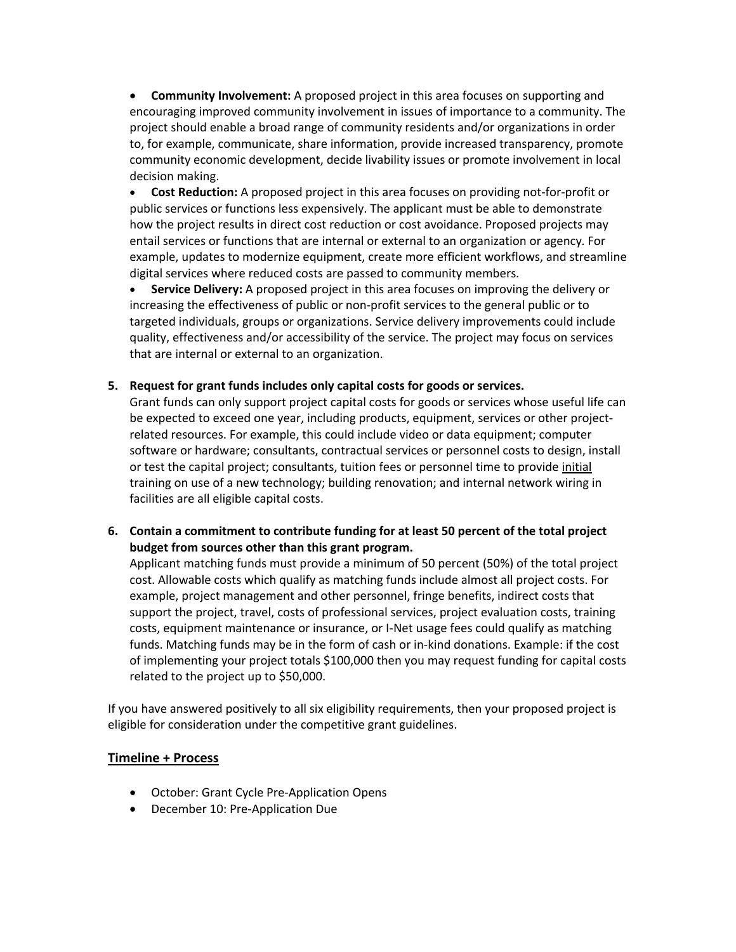• **Community Involvement:** A proposed project in this area focuses on supporting and encouraging improved community involvement in issues of importance to a community. The project should enable a broad range of community residents and/or organizations in order to, for example, communicate, share information, provide increased transparency, promote community economic development, decide livability issues or promote involvement in local decision making.

• **Cost Reduction:** A proposed project in this area focuses on providing not-for-profit or public services or functions less expensively. The applicant must be able to demonstrate how the project results in direct cost reduction or cost avoidance. Proposed projects may entail services or functions that are internal or external to an organization or agency. For example, updates to modernize equipment, create more efficient workflows, and streamline digital services where reduced costs are passed to community members.

• **Service Delivery:** A proposed project in this area focuses on improving the delivery or increasing the effectiveness of public or non-profit services to the general public or to targeted individuals, groups or organizations. Service delivery improvements could include quality, effectiveness and/or accessibility of the service. The project may focus on services that are internal or external to an organization.

#### **5. Request for grant funds includes only capital costs for goods or services.**

Grant funds can only support project capital costs for goods or services whose useful life can be expected to exceed one year, including products, equipment, services or other projectrelated resources. For example, this could include video or data equipment; computer software or hardware; consultants, contractual services or personnel costs to design, install or test the capital project; consultants, tuition fees or personnel time to provide initial training on use of a new technology; building renovation; and internal network wiring in facilities are all eligible capital costs.

**6. Contain a commitment to contribute funding for at least 50 percent of the total project budget from sources other than this grant program.**

Applicant matching funds must provide a minimum of 50 percent (50%) of the total project cost. Allowable costs which qualify as matching funds include almost all project costs. For example, project management and other personnel, fringe benefits, indirect costs that support the project, travel, costs of professional services, project evaluation costs, training costs, equipment maintenance or insurance, or I-Net usage fees could qualify as matching funds. Matching funds may be in the form of cash or in-kind donations. Example: if the cost of implementing your project totals \$100,000 then you may request funding for capital costs related to the project up to \$50,000.

If you have answered positively to all six eligibility requirements, then your proposed project is eligible for consideration under the competitive grant guidelines.

### **Timeline + Process**

- October: Grant Cycle Pre-Application Opens
- December 10: Pre-Application Due